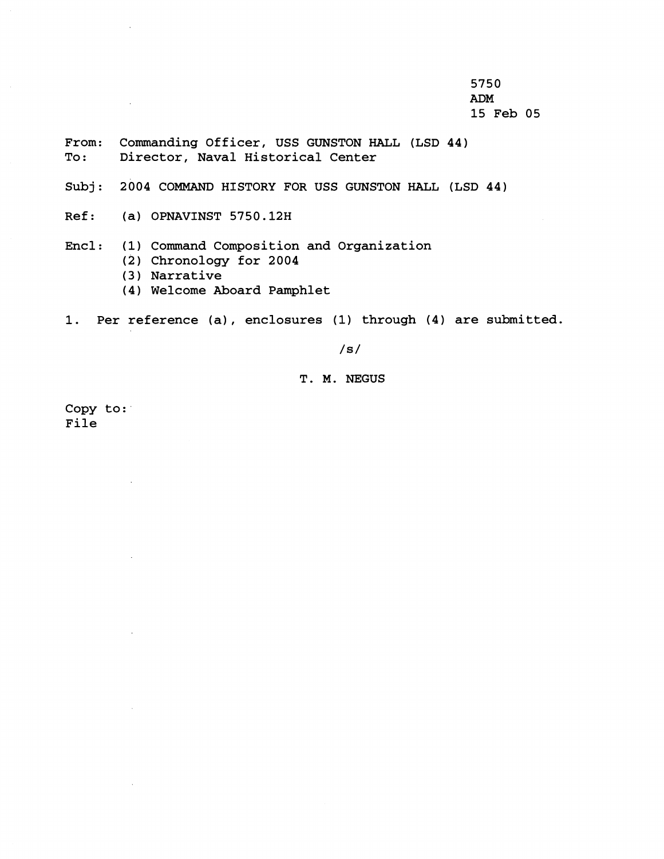5750 **ADM**  15 Feb 05

- From: Commanding Officer, USS GUNSTON HALL (LSD 44)<br>To: Director, Naval Historical Center Director, Naval Historical Center
- Subj: 2004 COMMAND HISTORY FOR USS GUNSTON HALL (LSD 44)
- Ref: (a) OPNAVINST 5750.12H

 $\sim$ 

- Encl: (1) Command Composition and Organization
	- (2) Chronology for 2004
	- (3) Narrative
	- (4) Welcome Aboard Pamphlet
- 1. Per reference (a) , enclosures (1) through (4) are submitted.

 $/s/$ 

# T. M. NEGUS

Copy to: File

 $\ddot{\phantom{a}}$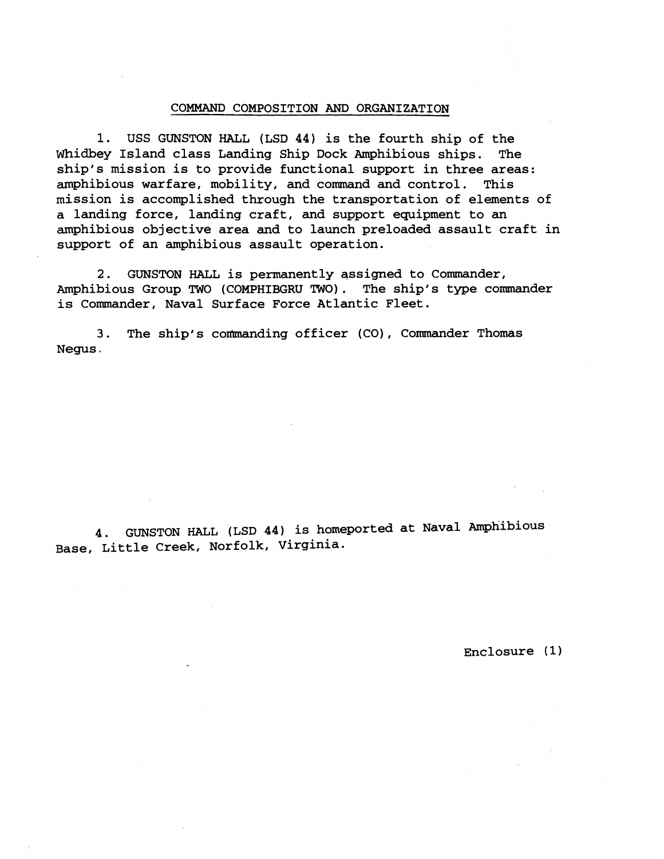### COMMAND COMPOSITION AND ORGANIZATION

1. USS GUNSTON HALL (LSD 44) is the fourth ship of the Whidbey Island class Landing Ship Dock Amphibious ships. The ship's mission is to provide functional support in three areas: amphibious warfare, mobility, and command and control. This mission is accomplished through the transportation of elements of a landing force, landing craft, and support equipment to an amphibious objective area and to launch preloaded assault craft in support of an amphibious assault operation.

**2.** GUNSTON HALL is permanently assigned to Commander, Amphibious Group TWO (COMPHIBGRU TWO). The ship's type commander is Commander, Naval Surface Force Atlantic Fleet.

3. The ship's commanding officer (CO), Commander Thomas Negus ,

4. GUNSTON HALL (LSD 44) is homeported at Naval Amphibious Base, Little Creek, Norfolk, Virginia.

Enclosure **(1)**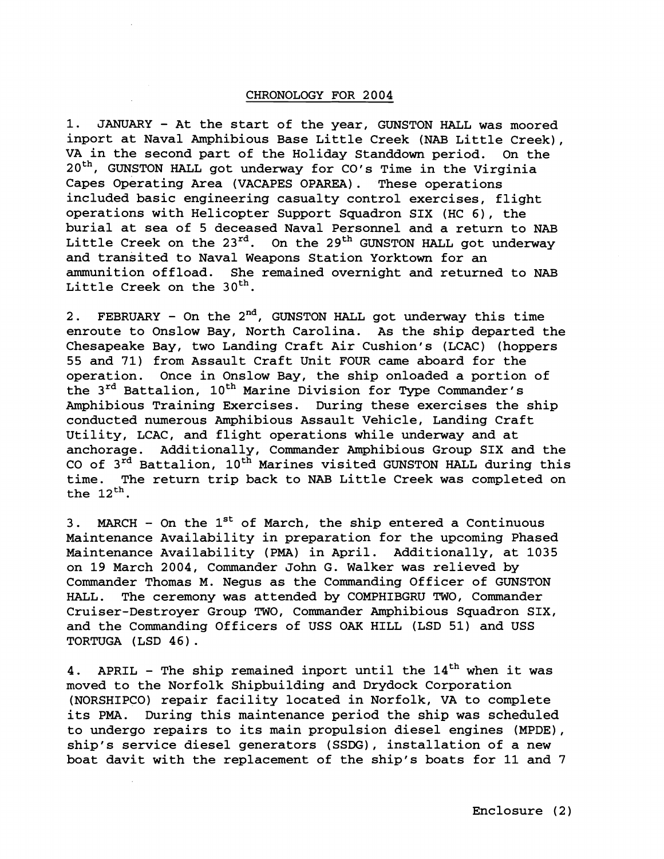## CHRONOLOGY FOR 2004

1. JANUARY - At the start of the year, GUNSTON HALL was moored inport at Naval Amphibious Base Little Creek (NAB Little Creek), VA in the second part of the Holiday Standdown period. On the 20<sup>th</sup>, GUNSTON HALL got underway for CO's Time in the Virginia Capes Operating Area (VACAPES OPAREA). These operations included basic engineering casualty control exercises, flight operations with Helicopter Support Squadron SIX (HC 6), the burial at sea of 5 deceased Naval Personnel and a return to NAB Little Creek on the  $23^{rd}$ . On the  $29^{th}$  GUNSTON HALL got underway and transited to Naval Weapons Station Yorktown for an ammunition offload. She remained overnight and returned to NAB Little Creek on the 30<sup>th</sup>.

2. FEBRUARY - On the  $2^{nd}$ , GUNSTON HALL got underway this time enroute to Onslow Bay, North Carolina. As the ship departed the Chesapeake Bay, two Landing Craft Air Cushion's (LCAC) (hoppers 55 and 71) from Assault Craft Unit FOUR came aboard for the operation. Once in Onslow Bay, the ship onloaded a portion of the 3<sup>rd</sup> Battalion, 10<sup>th</sup> Marine Division for Type Commander's Amphibious Training Exercises. During these exercises the ship conducted numerous Amphibious Assault Vehicle, Landing Craft Utility, LCAC, and flight operations while underway and at anchorage. Additionally, Commander Amphibious Group SIX and the CO of  $3^{rd}$  Battalion,  $10^{th}$  Marines visited GUNSTON HALL during this time. The return trip back to NAB Little Creek was completed on the  $12<sup>th</sup>$ .

3. MARCH - On the  $1<sup>st</sup>$  of March, the ship entered a Continuous Maintenance Availability in preparation for the upcoming Phased Maintenance Availability (PMA) in April. Additionally, at 1035 on 19 March 2004, Commander John G. Walker was relieved by Commander Thomas M. Negus as the Commanding Officer of GUNSTON HALL. The ceremony was attended by COMPHIBGRU TWO, Commander Cruiser-Destroyer Group TWO, Commander Amphibious Squadron SIX, and the Commanding Officers of USS OAK HILL (LSD 51) and USS TORTUGA (LSD 46).

4. APRIL - The ship remained inport until the  $14<sup>th</sup>$  when it was moved to the Norfolk Shipbuilding and Drydock Corporation (NORSHIPCO) repair facility located in Norfolk, VA to complete its **PMA.** During this maintenance period the ship was scheduled to undergo repairs to its main propulsion diesel engines (MPDE), ship's service diesel generators (SSDG), installation of a new boat davit with the replacement of the ship's boats for 11 and 7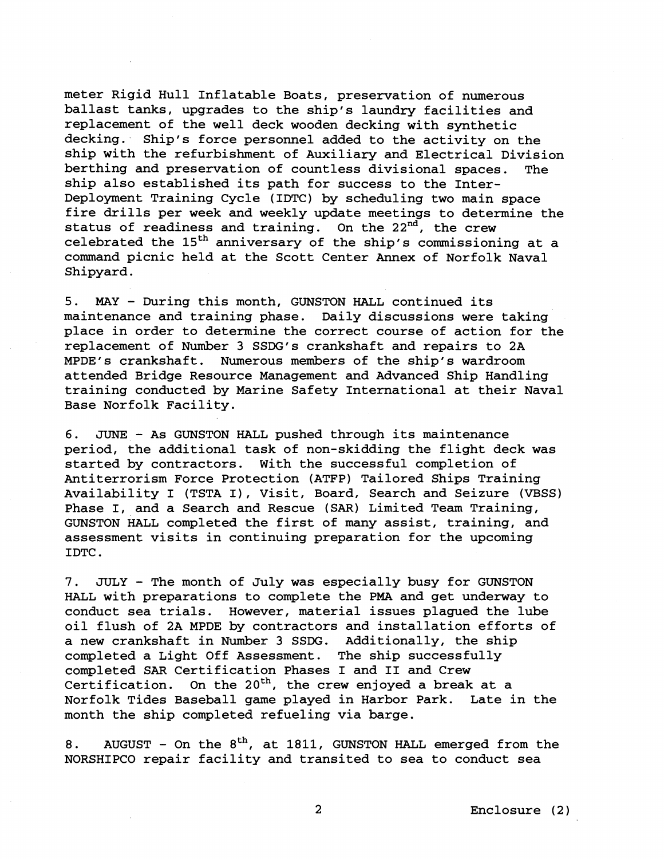meter Rigid Hull Inflatable Boats, preservation of numerous ballast tanks, upgrades to the ship's laundry facilities and replacement of the well deck wooden decking with synthetic decking. Ship's force personnel added to the activity on the ship with the refurbishment of Auxiliary and Electrical Division berthing and preservation of countless divisional spaces. ship also established its path for success to the Inter-Deployment Training Cycle (IDTC) by scheduling two main space fire drills per week and weekly update meetings to determine the status of readiness and training. On the  $22^{nd}$ , the crew celebrated the  $15<sup>th</sup>$  anniversary of the ship's commissioning at a command picnic held at the Scott Center Annex of Norfolk Naval Shipyard.

5. MAY - During this month, GUNSTON HALL continued its maintenance and training phase. Daily discussions were taking place in order to determine the correct course of action for the replacement of Number 3 SSDG's crankshaft and repairs to 2A MPDE1s crankshaft. Numerous members of the ship's wardroom attended Bridge Resource Management and Advanced Ship Handling training conducted by Marine Safety International at their Naval Base Norfolk Facility.

6. JUNE - As GUNSTON HALL pushed through its maintenance period, the additional task of non-skidding the flight deck was started by contractors. With the successful completion of Antiterrorism Force Protection (ATFP) Tailored Ships Training Availability I (TSTA I), Visit, Board, Search and Seizure (VBSS) Phase I, and a Search and Rescue (SAR) Limited Team Training, GUNSTON HALL completed the first of many assist, training, and assessment visits in continuing preparation for the upcoming IDTC .

7. JULY - The month of July was especially busy for GUNSTON HALL with preparations to complete the PMA and get underway to conduct sea trials. However, material issues plagued the lube oil flush of 2A MPDE by contractors and installation efforts of a new crankshaft in Number 3 SSDG. Additionally, the ship completed a Light Off Assessment. The ship successfully completed SAR Certification Phases I and I1 and Crew Certification. On the  $20^{th}$ , the crew enjoyed a break at a Norfolk Tides Baseball game played in Harbor Park. Late in the month the ship completed refueling via barge.

8. AUGUST - On the  $8<sup>th</sup>$ , at 1811, GUNSTON HALL emerged from the NORSHIPCO repair facility and transited to sea to conduct sea

 $\overline{2}$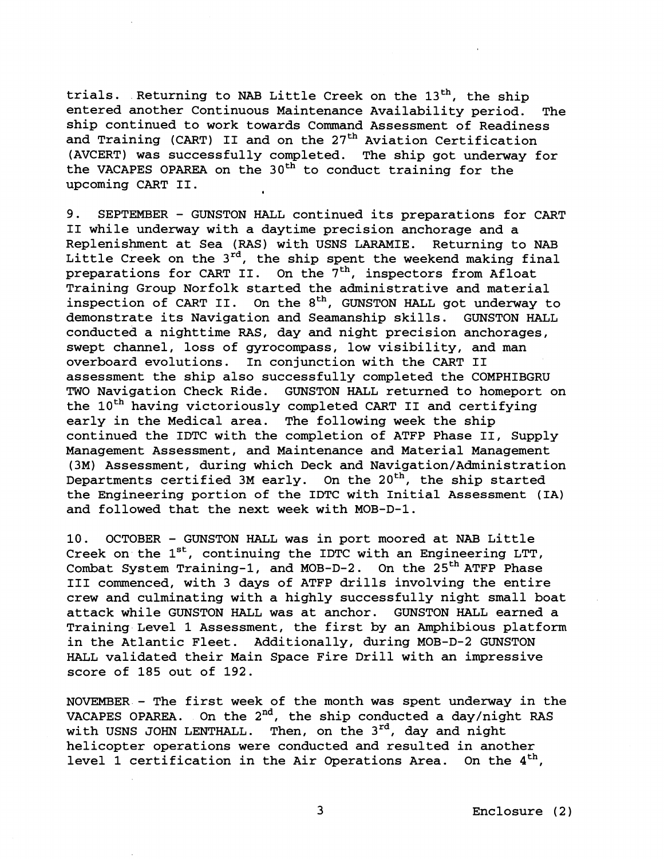trials. Returning to NAB Little Creek on the 13<sup>th</sup>, the ship entered another Continuous Maintenance Availability period. The ship continued to work towards Command Assessment of Readiness and Training (CART) II and on the 27<sup>th</sup> Aviation Certification (AVCERT) was successfully completed. The ship got underway for the VACAPES OPAREA on the 30<sup>th</sup> to conduct training for the upcoming CART 11.

9. SEPTEMBER - GUNSTON HALL continued its preparations for CART I1 while underway with a daytime precision anchorage and a Replenishment at Sea (RAS) with USNS LARAMIE. Returning to NAB Little Creek on the  $3^{rd}$ , the ship spent the weekend making final preparations for CART II. On the 7<sup>th</sup>, inspectors from Afloat Training Group Norfolk started the administrative and material inspection of CART II. On the  $8<sup>th</sup>$ , GUNSTON HALL got underway to demonstrate its Navigation and Seamanship skills. GUNSTON HALL conducted a nighttime RAS, day and night precision anchorages, swept channel, loss of gyrocompass, low visibility, and man overboard evolutions. In conjunction with the CART **I1**  assessment the ship also successfully completed the COMPHIBGRU TWO Navigation Check Ride. GUNSTON HALL returned to homeport on the 10<sup>th</sup> having victoriously completed CART II and certifying early in the Medical area. The following week the ship continued the IDTC with the completion of ATFP Phase 11, Supply Management Assessment, and Maintenance and Material Management (3M) Assessment, during which Deck and **Navigation/Administration**  Departments certified 3M early. On the  $20<sup>th</sup>$ , the ship started the Engineering portion of the IDTC with Initial Assessment (IA) and followed that the next week with MOB-D-1.

10. OCTOBER - GUNSTON HALL was in port moored at NAB Little Creek on the  $1^{st}$ , continuing the IDTC with an Engineering LTT, Combat System Training-1, and MOB-D-2. On the  $25<sup>th</sup>$  ATFP Phase I11 commenced, with 3 days of ATFP drills involving the entire crew and culminating with a highly successfully night small boat attack while GUNSTON HALL was at anchor. GUNSTON HALL earned a Training Level 1 Assessment, the first by an Amphibious platform in the Atlantic Fleet. Additionally, during MOB-D-2 GUNSTON HALL validated their Main Space Fire Drill with an impressive score of 185 out of 192.

NOVEMBER - The first week of the month was spent underway in the VACAPES OPAREA. On the  $2^{nd}$ , the ship conducted a day/night RAS with USNS JOHN LENTHALL. Then, on the 3<sup>rd</sup>, day and night helicopter operations were conducted and resulted in another level 1 certification in the Air Operations Area. On the  $4<sup>th</sup>$ ,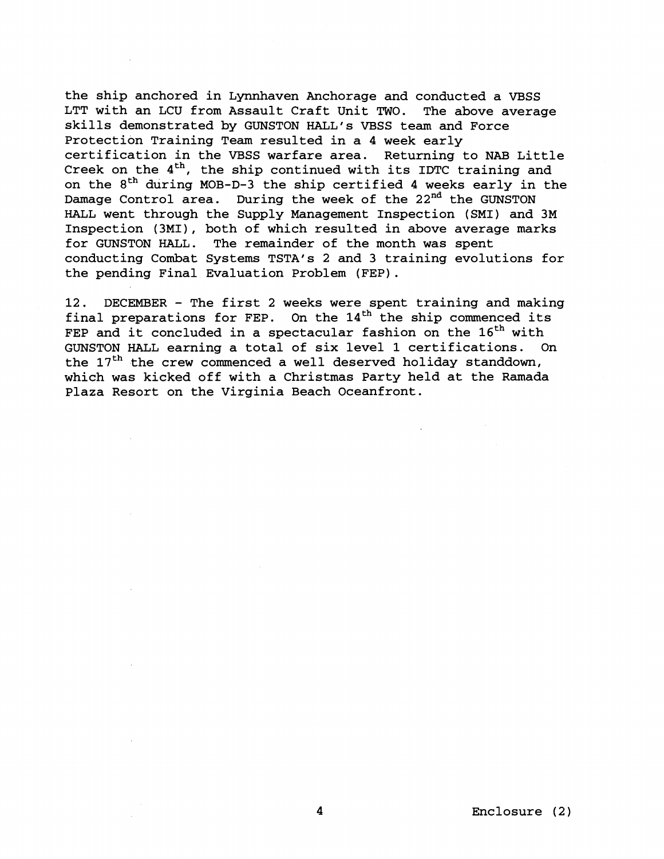the ship anchored in Lynnhaven Anchorage and conducted a VBSS LTT with an LCU from Assault Craft Unit TWO. The above average skills demonstrated by GUNSTON HALL'S VBSS team and Force Protection Training Team resulted in a 4 week early certification in the VBSS warfare area. Returning to NAB Little Creek on the  $4<sup>th</sup>$ , the ship continued with its IDTC training and on the **8th** during MOB-D-3 the ship certified 4 weeks early in the Damage Control area. During the week of the **22nd** the GUNSTON HALL went through the Supply Management Inspection (SMI) and 3M Inspection (3MI), both of which resulted in above average marks for GUNSTON HALL. The remainder of the month was spent conducting Combat Systems TSTA's **2** and 3 training evolutions for the pending Final Evaluation Problem (FEP).

**12.** DECEMBER - The first 2 weeks were spent training and making final preparations for FEP. On the  $14<sup>th</sup>$  the ship commenced its FEP and it concluded in a spectacular fashion on the  $16<sup>th</sup>$  with GUNSTON HALL earning a total of six level **1** certifications. On the  $17<sup>th</sup>$  the crew commenced a well deserved holiday standdown, which was kicked off with a Christmas Party held at the Ramada Plaza Resort on the Virginia Beach Oceanfront.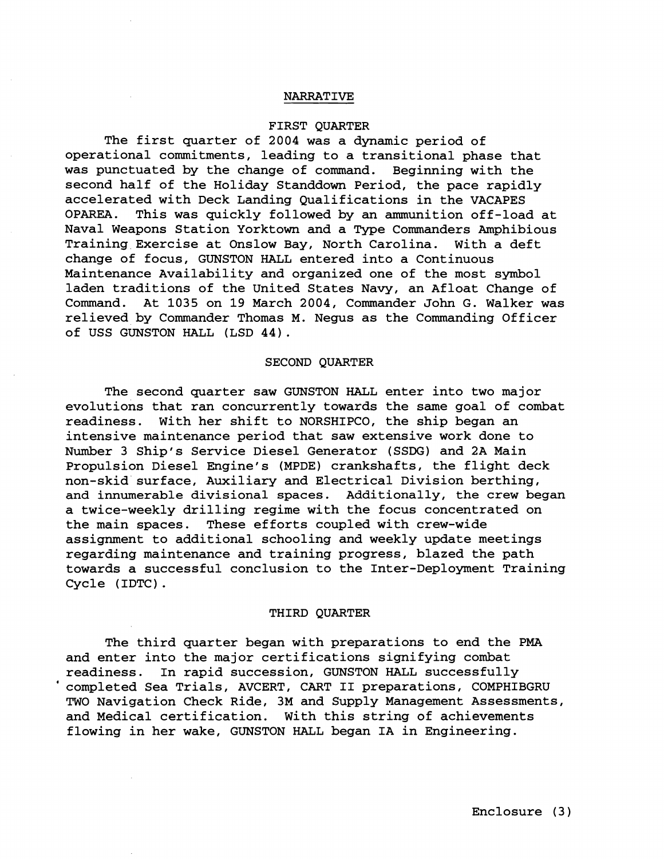### NARRATIVE

### FIRST QUARTER

The first quarter of 2004 was a dynamic period of operational commitments, leading to a transitional phase that was punctuated by the change of command. Beginning with the second half of the Holiday Standdown Period, the pace rapidly accelerated with Deck Landing Qualifications in the VACAPES OPAREA. This was quickly followed by an ammunition off-load at Naval Weapons Station Yorktown and a Type Commanders Amphibious Training Exercise at Onslow Bay, North Carolina. With a deft change of focus, GUNSTON HALL entered into a Continuous Maintenance Availability and organized one of the most symbol laden traditions of the United States Navy, an Afloat Change of Command. At 1035 on 19 March 2004, Commander John G. Walker was relieved by Commander Thomas M. Negus as the Commanding Officer of USS GUNSTON HALL (LSD 44).

#### SECOND QUARTER

The second quarter saw GUNSTON HALL enter into two major evolutions that ran concurrently towards the same goal of combat readiness. With her shift to NORSHIPCO, the ship began an intensive maintenance period that saw extensive work done to Number 3 Ship's Service Diesel Generator (SSDG) and 2A Main Propulsion Diesel Engine's (MPDE) crankshafts, the flight deck non-skid surface, Auxiliary and Electrical Division berthing, and innumerable divisional spaces. Additionally, the crew began a twice-weekly drilling regime with the focus concentrated on the main spaces. These efforts coupled with crew-wide assignment to additional schooling and weekly update meetings regarding maintenance and training progress, blazed the path towards a successful conclusion to the Inter-Deployment Training Cycle (IDTC) .

#### THIRD QUARTER

The third quarter began with preparations to end the PMA and enter into the major certifications signifying combat readiness. In rapid succession, GUNSTON HALL successfully ' completed Sea Trials, AVCERT, CART I1 preparations, COMPHIBGRU TWO Navigation Check Ride, 3M and Supply Management Assessments, and Medical certification. With this string of achievements flowing in her wake, GUNSTON HALL began IA in Engineering.